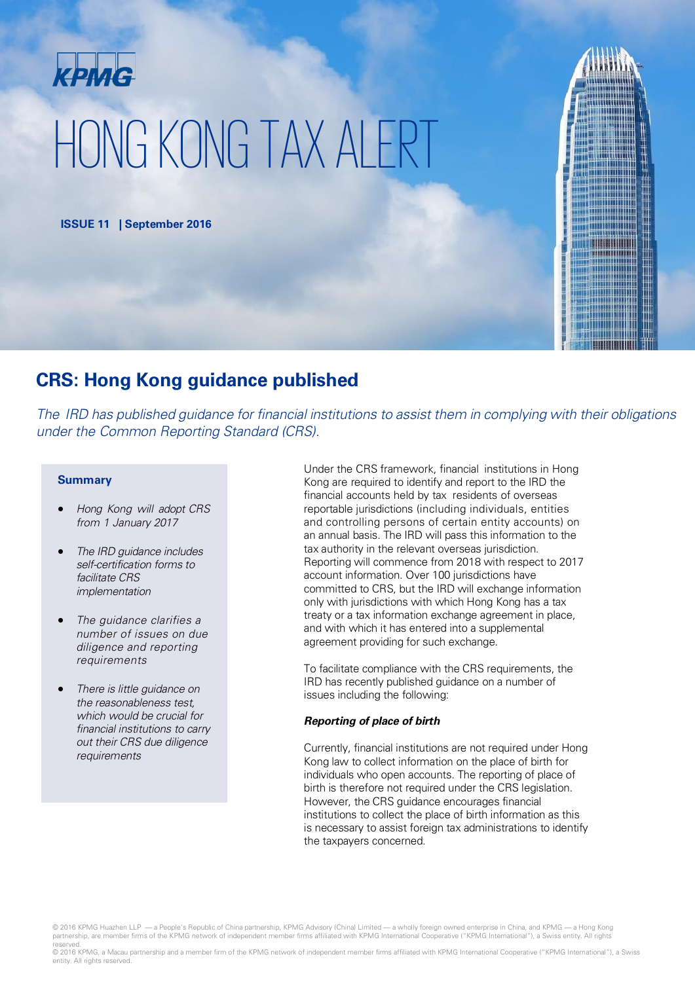# KPMG HONG KONG TAX ALERT

**ISSUE 11 | September 2016**

### **CRS: Hong Kong guidance published**

The IRD has published guidance for financial institutions to assist them in complying with their obligations under the Common Reporting Standard (CRS).

#### **Summary**

- Hong Kong will adopt CRS from 1 January 2017
- The IRD guidance includes self-certification forms to facilitate CRS implementation
- The quidance clarifies a number of issues on due diligence and reporting requirements
- There is little guidance on the reasonableness test, which would be crucial for financial institutions to carry out their CRS due diligence requirements

Under the CRS framework, financial institutions in Hong Kong are required to identify and report to the IRD the financial accounts held by tax residents of overseas reportable jurisdictions (including individuals, entities and controlling persons of certain entity accounts) on an annual basis. The IRD will pass this information to the tax authority in the relevant overseas jurisdiction. Reporting will commence from 2018 with respect to 2017 account information. Over 100 jurisdictions have committed to CRS, but the IRD will exchange information only with jurisdictions with which Hong Kong has a tax treaty or a tax information exchange agreement in place, and with which it has entered into a supplemental agreement providing for such exchange.

To facilitate compliance with the CRS requirements, the IRD has recently published guidance on a number of issues including the following:

#### **Reporting of place of birth**

Currently, financial institutions are not required under Hong Kong law to collect information on the place of birth for individuals who open accounts. The reporting of place of birth is therefore not required under the CRS legislation. However, the CRS guidance encourages financial institutions to collect the place of birth information as this is necessary to assist foreign tax administrations to identify the taxpayers concerned.

<sup>© 2016</sup> KPMG Huazhen LLP — a People's Republic of China partnership, KPMG Advisory (China) Limited — a wholly foreign owned enterprise in China, and KPMG — a Hong Kong partnership, are member firms of the KPMG network of independent member firms affiliated with KPMG International Cooperative ("KPMG International"), a Swiss entity. All rights

reserved.<br>© 2016 KPMG, a Macau partnership and a member firm of the KPMG network of independent member firms affiliated with KPMG International Cooperative ("KPMG International"), a Swiss entity. All rights reserved.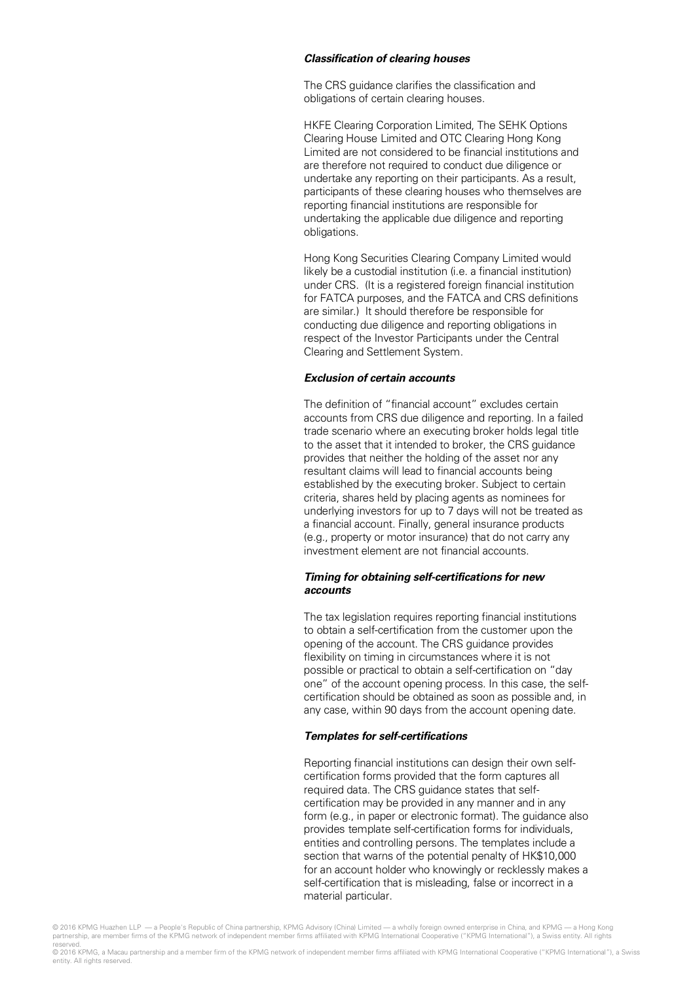#### **Classification of clearing houses**

The CRS guidance clarifies the classification and obligations of certain clearing houses.

HKFE Clearing Corporation Limited, The SEHK Options Clearing House Limited and OTC Clearing Hong Kong Limited are not considered to be financial institutions and are therefore not required to conduct due diligence or undertake any reporting on their participants. As a result, participants of these clearing houses who themselves are reporting financial institutions are responsible for undertaking the applicable due diligence and reporting obligations.

Hong Kong Securities Clearing Company Limited would likely be a custodial institution (i.e. a financial institution) under CRS. (It is a registered foreign financial institution for FATCA purposes, and the FATCA and CRS definitions are similar.) It should therefore be responsible for conducting due diligence and reporting obligations in respect of the Investor Participants under the Central Clearing and Settlement System.

#### **Exclusion of certain accounts**

The definition of "financial account" excludes certain accounts from CRS due diligence and reporting. In a failed trade scenario where an executing broker holds legal title to the asset that it intended to broker, the CRS guidance provides that neither the holding of the asset nor any resultant claims will lead to financial accounts being established by the executing broker. Subject to certain criteria, shares held by placing agents as nominees for underlying investors for up to 7 days will not be treated as a financial account. Finally, general insurance products (e.g., property or motor insurance) that do not carry any investment element are not financial accounts.

#### **Timing for obtaining self-certifications for new accounts**

The tax legislation requires reporting financial institutions to obtain a self-certification from the customer upon the opening of the account. The CRS guidance provides flexibility on timing in circumstances where it is not possible or practical to obtain a self-certification on "day one" of the account opening process. In this case, the selfcertification should be obtained as soon as possible and, in any case, within 90 days from the account opening date.

#### **Templates for self-certifications**

Reporting financial institutions can design their own selfcertification forms provided that the form captures all required data. The CRS guidance states that selfcertification may be provided in any manner and in any form (e.g., in paper or electronic format). The guidance also provides template self-certification forms for individuals, entities and controlling persons. The templates include a section that warns of the potential penalty of HK\$10,000 for an account holder who knowingly or recklessly makes a self-certification that is misleading, false or incorrect in a material particular.

© 2016 KPMG Huazhen LLP — a People's Republic of China partnership, KPMG Advisory (China) Limited — a wholly foreign owned enterprise in China, and KPMG — a Hong Kong partnership, are member firms of the KPMG network of independent member firms affiliated with KPMG International Cooperative ("KPMG International"), a Swiss entity. All rights reserved.<br>© 2016 KPMG, a Macau partnership and a member firm of the KPMG network of independent member firms affiliated with KPMG International Cooperative ("KPMG International"), a Swiss

entity. All rights reserved.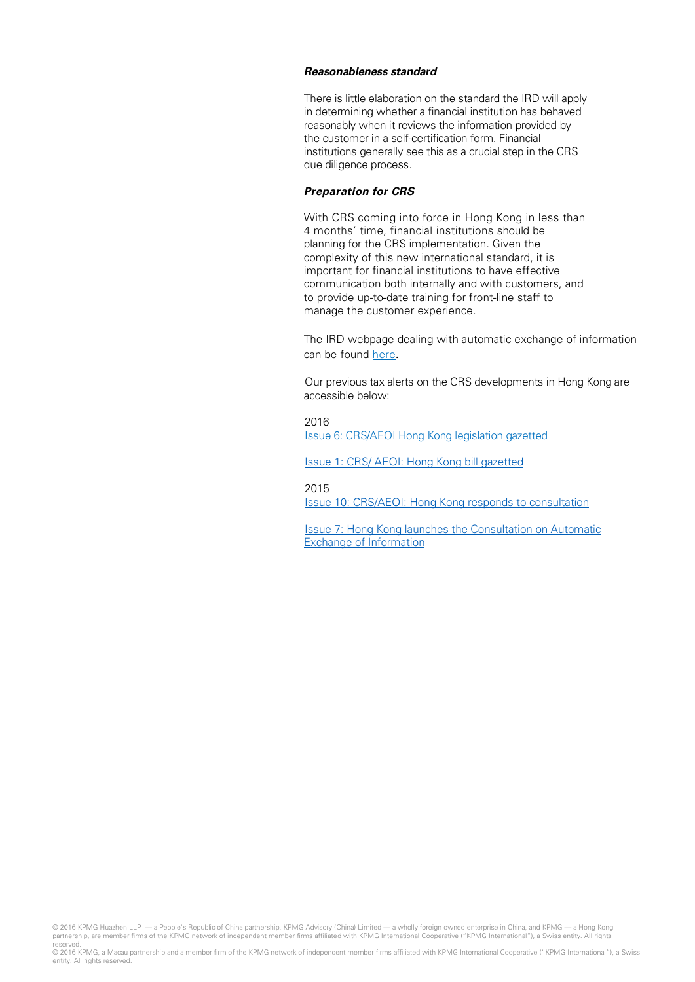#### **Reasonableness standard**

There is little elaboration on the standard the IRD will apply in determining whether a financial institution has behaved reasonably when it reviews the information provided by the customer in a self-certification form. Financial institutions generally see this as a crucial step in the CRS due diligence process.

#### **Preparation for CRS**

With CRS coming into force in Hong Kong in less than 4 months' time, financial institutions should be planning for the CRS implementation. Given the complexity of this new international standard, it is important for financial institutions to have effective communication both internally and with customers, and to provide up-to-date training for front-line staff to manage the customer experience.

The IRD webpage dealing with automatic exchange of information can be found [here](http://www.ird.gov.hk/eng/tax/dta_aeoi.htm).

Our previous tax alerts on the CRS developments in Hong Kong are accessible below:

#### 2016

[Issue 6: CRS/AEOI Hong Kong legislation gazetted](https://home.kpmg.com/cn/en/home/insights/2016/06/crs-aeoi-hong-kong-legislation-gazetted.html)

Issue 1: CRS/ AEOI: Hong Kong bill [gazetted](https://home.kpmg.com/cn/en/home/insights/2016/01/tax-alert-01-hk-bill-gazetted.html)

2015

Issue 10: CRS/AEOI: Hong Kong responds to [consultation](https://home.kpmg.com/cn/en/home/insights/2010/05/tax-alert-1510-10-hk-responds-to-consultation.html)

Issue 7: Hong Kong launches the [Consultation](https://home.kpmg.com/cn/en/home/insights/2015/05/tax-alert-1505-07-hk-lanches-consultation-on-automatic-exchange-of-information.html) on Automatic Exchange of [Information](https://home.kpmg.com/cn/en/home/insights/2015/05/tax-alert-1505-07-hk-lanches-consultation-on-automatic-exchange-of-information.html)

© 2016 KPMG Huazhen LLP — a People's Republic of China partnership, KPMG Advisory (China) Limited — a wholly foreign owned enterprise in China, and KPMG — a Hong Kong partnership, are member firms of the KPMG network of independent member firms affiliated with KPMG International Cooperative ("KPMG International"), a Swiss entity. All rights reserved.

© 2016 KPMG, a Macau partnership and a member firm of the KPMG network of independent member firms affiliated with KPMG International Cooperative ("KPMG International"), a Swiss entity. All rights reserved.